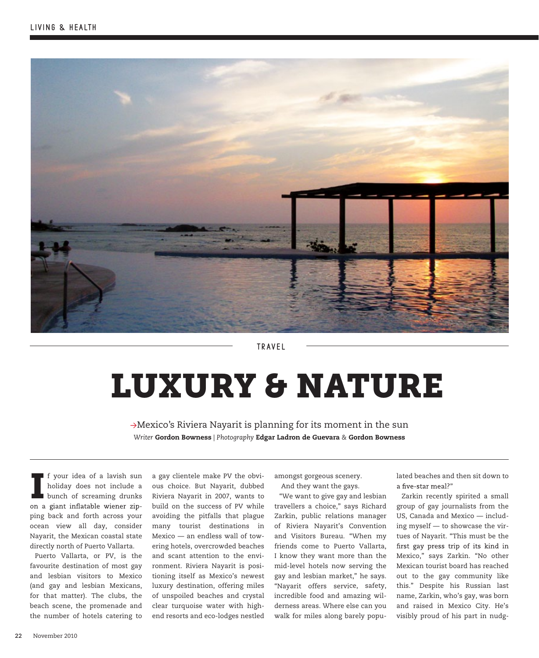

**TRAVEL** 

# LUXURY & NATURE

 $\rightarrow$ Mexico's Riviera Nayarit is planning for its moment in the sun *Writer* Gordon Bowness *| Photography* Edgar Ladron de Guevara *&* Gordon Bowness

If your idea of a lavish sun<br>holiday does not include a<br>bunch of screaming drunks<br>on a giant inflatable wiener zipf your idea of a lavish sun holiday does not include a bunch of screaming drunks ping back and forth across your ocean view all day, consider Nayarit, the Mexican coastal state directly north of Puerto Vallarta.

Puerto Vallarta, or PV, is the favourite destination of most gay and lesbian visitors to Mexico (and gay and lesbian Mexicans, for that matter). The clubs, the beach scene, the promenade and the number of hotels catering to

a gay clientele make PV the obvious choice. But Nayarit, dubbed Riviera Nayarit in 2007, wants to build on the success of PV while avoiding the pitfalls that plague many tourist destinations in Mexico — an endless wall of towering hotels, overcrowded beaches and scant attention to the environment. Riviera Nayarit is positioning itself as Mexico's newest luxury destination, offering miles of unspoiled beaches and crystal clear turquoise water with highend resorts and eco-lodges nestled

amongst gorgeous scenery. And they want the gays.

"We want to give gay and lesbian travellers a choice," says Richard Zarkin, public relations manager of Riviera Nayarit's Convention and Visitors Bureau. "When my friends come to Puerto Vallarta, I know they want more than the mid-level hotels now serving the gay and lesbian market," he says. "Nayarit offers service, safety, incredible food and amazing wilderness areas. Where else can you walk for miles along barely popu-

lated beaches and then sit down to a five-star meal?"

Zarkin recently spirited a small group of gay journalists from the US, Canada and Mexico — including myself — to showcase the virtues of Nayarit. "This must be the first gay press trip of its kind in Mexico," says Zarkin. "No other Mexican tourist board has reached out to the gay community like this." Despite his Russian last name, Zarkin, who's gay, was born and raised in Mexico City. He's visibly proud of his part in nudg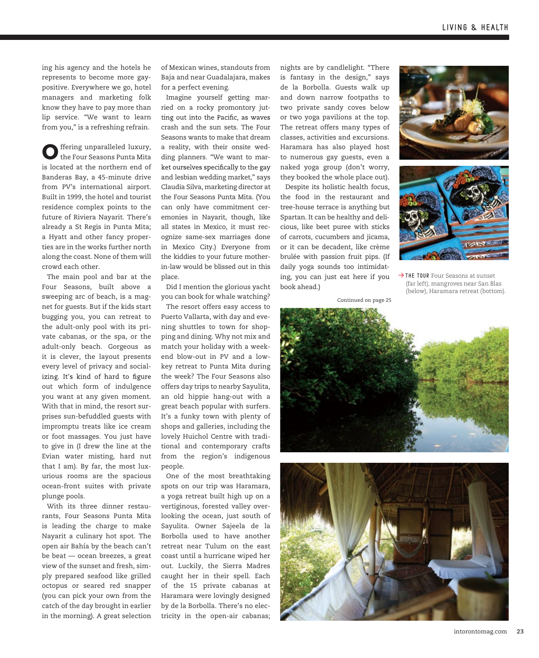ing his agency and the hotels he represents to become more gaypositive. Everywhere we go, hotel managers and marketing folk know they have to pay more than lip service. "We want to learn from you," is a refreshing refrain.

Offering unparalleled luxury, the Four Seasons Punta Mita is located at the northern end of Banderas Bay, a 45-minute drive from PV's international airport. Built in 1999, the hotel and tourist residence complex points to the future of Riviera Nayarit. There's already a St Regis in Punta Mita; a Hyatt and other fancy properties are in the works further north along the coast. None of them will crowd each other.

The main pool and bar at the Four Seasons, built above a sweeping arc of beach, is a magnet for guests. But if the kids start bugging you, you can retreat to the adult-only pool with its private cabanas, or the spa, or the adult-only beach. Gorgeous as it is clever, the layout presents every level of privacy and socializing. It's kind of hard to figure out which form of indulgence you want at any given moment. With that in mind, the resort surprises sun-befuddled guests with impromptu treats like ice cream or foot massages. You just have to give in (I drew the line at the Evian water misting, hard nut that I am). By far, the most luxurious rooms are the spacious ocean-front suites with private plunge pools.

With its three dinner restaurants, Four Seasons Punta Mita is leading the charge to make Nayarit a culinary hot spot. The open air Bahía by the beach can't be beat — ocean breezes, a great view of the sunset and fresh, simply prepared seafood like grilled octopus or seared red snapper (you can pick your own from the catch of the day brought in earlier in the morning). A great selection of Mexican wines, standouts from Baja and near Guadalajara, makes for a perfect evening.

Imagine yourself getting married on a rocky promontory jutting out into the Pacific, as waves crash and the sun sets. The Four Seasons wants to make that dream a reality, with their onsite wedding planners. "We want to market ourselves specifically to the gay and lesbian wedding market," says Claudia Silva, marketing director at the Four Seasons Punta Mita. (You can only have commitment ceremonies in Nayarit, though, like all states in Mexico, it must recognize same-sex marriages done in Mexico City.) Everyone from the kiddies to your future motherin-law would be blissed out in this place.

Did I mention the glorious yacht you can book for whale watching?

The resort offers easy access to Puerto Vallarta, with day and evening shuttles to town for shopping and dining. Why not mix and match your holiday with a weekend blow-out in PV and a lowkey retreat to Punta Mita during the week? The Four Seasons also offers day trips to nearby Sayulita, an old hippie hang-out with a great beach popular with surfers. It's a funky town with plenty of shops and galleries, including the lovely Huichol Centre with traditional and contemporary crafts from the region's indigenous people.

One of the most breathtaking spots on our trip was Haramara, a yoga retreat built high up on a vertiginous, forested valley overlooking the ocean, just south of Sayulita. Owner Sajeela de la Borbolla used to have another retreat near Tulum on the east coast until a hurricane wiped her out. Luckily, the Sierra Madres caught her in their spell. Each of the 15 private cabanas at Haramara were lovingly designed by de la Borbolla. There's no electricity in the open-air cabanas;

nights are by candlelight. "There is fantasy in the design," says de la Borbolla. Guests walk up and down narrow footpaths to two private sandy coves below or two yoga pavilions at the top. The retreat offers many types of classes, activities and excursions. Haramara has also played host to numerous gay guests, even a naked yoga group (don't worry, they booked the whole place out).

Despite its holistic health focus, the food in the restaurant and tree-house terrace is anything but Spartan. It can be healthy and delicious, like beet puree with sticks of carrots, cucumbers and jicama, or it can be decadent, like crème brulée with passion fruit pips. (If daily yoga sounds too intimidating, you can just eat here if you book ahead.)





→ THE TOUR Four Seasons at sunset (far left), mangroves near San Blas (below), Haramara retreat (bottom).